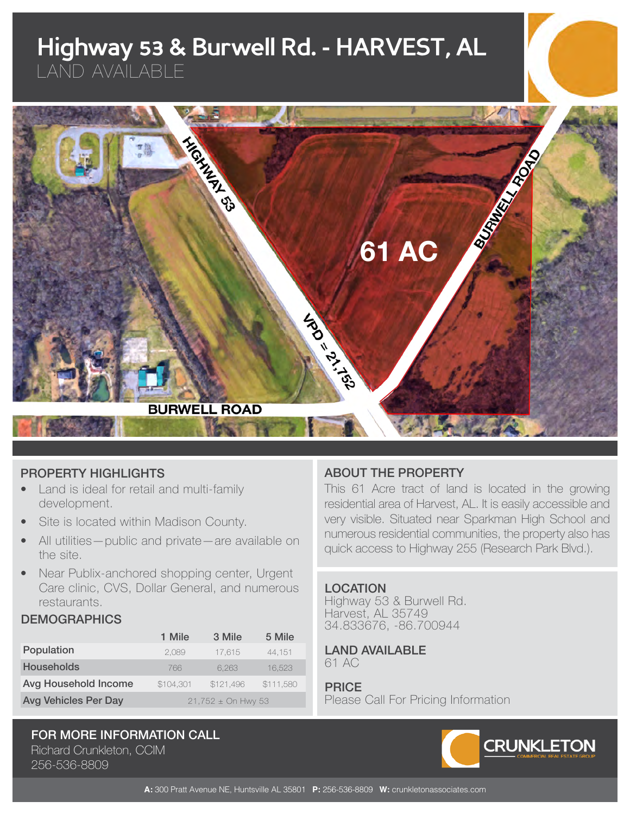# **Highway 53 & Burwell Rd. - HARVEST, AL**

LAND AVAILABLE



# PROPERTY HIGHLIGHTS

- Land is ideal for retail and multi-family development.
- Site is located within Madison County.
- All utilities—public and private—are available on the site.
- Near Publix-anchored shopping center, Urgent Care clinic, CVS, Dollar General, and numerous restaurants.

#### **DEMOGRAPHICS**

|                             | 1 Mile                 | 3 Mile    | 5 Mile    |
|-----------------------------|------------------------|-----------|-----------|
| Population                  | 2.089                  | 17.615    | 44.151    |
| <b>Households</b>           | 766                    | 6.263     | 16.523    |
| Avg Household Income        | \$104,301              | \$121,496 | \$111,580 |
| <b>Avg Vehicles Per Day</b> | $21,752 \pm 0n$ Hwy 53 |           |           |

### FOR MORE INFORMATION CALL Richard Crunkleton, CCIM

256-536-8809

# ABOUT THE PROPERTY

This 61 Acre tract of land is located in the growing residential area of Harvest, AL. It is easily accessible and very visible. Situated near Sparkman High School and numerous residential communities, the property also has quick access to Highway 255 (Research Park Blvd.).

#### **LOCATION**

Highway 53 & Burwell Rd. Harvest, AL 35749 34.833676, -86.700944

#### LAND AVAILABLE 61 AC

PRICE

Please Call For Pricing Information